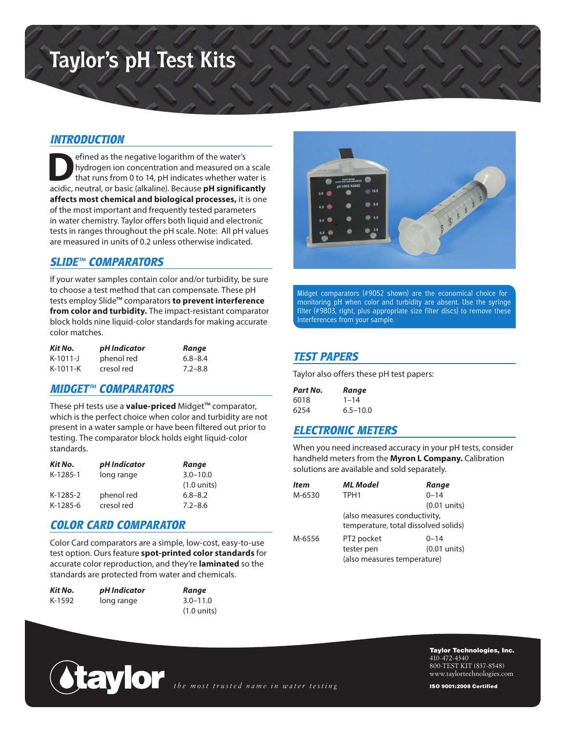# **Taylor's pH Test Kits**

## *INTRODUCTION*

External of the megative logarithm of the water's<br>
hydrogen ion concentration and measured on a<br>
that runs from 0 to 14, pH indicates whether was a scidic noutral or basic (alkaling). Because **nH** signifies hydrogen ion concentration and measured on a scale that runs from 0 to 14, pH indicates whether water is acidic, neutral, or basic (alkaline). Because **pH significantly affects most chemical and biological processes,** it is one of the most important and frequently tested parameters in water chemistry. Taylor offers both liquid and electronic tests in ranges throughout the pH scale. Note: All pH values are measured in units of 0.2 unless otherwise indicated.

## *SLIDE™ COMPARATORS*

If your water samples contain color and/or turbidity, be sure to choose a test method that can compensate. These pH tests employ Slide™ comparators **to prevent interference from color and turbidity.** The impact-resistant comparator block holds nine liquid-color standards for making accurate color matches.

| Kit No.    | pH Indicator | Range       |
|------------|--------------|-------------|
| $K-1011-J$ | phenol red   | $6.8 - 8.4$ |
| $K-1011-K$ | cresol red   | $7.2 - 8.8$ |

## *MIDGET™ COMPARATORS*

These pH tests use a **value-priced** Midget™ comparator, which is the perfect choice when color and turbidity are not present in a water sample or have been filtered out prior to testing. The comparator block holds eight liquid-color standards.

| Kit No.  | pH Indicator | Range                 |
|----------|--------------|-----------------------|
| K-1285-1 | long range   | $3.0 - 10.0$          |
|          |              | $(1.0 \text{ units})$ |
| K-1285-2 | phenol red   | $6.8 - 8.2$           |
| K-1285-6 | cresol red   | $7.2 - 8.6$           |

## *COLOR CARD COMPARATOR*

Color Card comparators are a simple, low-cost, easy-to-use test option. Ours feature **spot-printed color standards** for accurate color reproduction, and they're **laminated** so the standards are protected from water and chemicals.

| Kit No. | pH Indicator | Range                 |
|---------|--------------|-----------------------|
| K-1592  | long range   | $3.0 - 11.0$          |
|         |              | $(1.0 \text{ units})$ |



Midget comparators (#9052 shown) are the economical choice for monitoring pH when color and turbidity are absent. Use the syringe filter (#9803, right, plus appropriate size filter discs) to remove these interferences from your sample.

# *TEST PAPERS*

Taylor also offers these pH test papers:

| Part No. | Range        |
|----------|--------------|
| 6018     | $1 - 14$     |
| 6254     | $6.5 - 10.0$ |

# *ELECTRONIC METERS*

When you need increased accuracy in your pH tests, consider handheld meters from the **Myron L Company.** Calibration solutions are available and sold separately.

| <b>Item</b> | <b>ML Model</b>                      | Range                        |  |  |
|-------------|--------------------------------------|------------------------------|--|--|
| M-6530      | TPH <sub>1</sub>                     | $0 - 14$                     |  |  |
|             |                                      | $(0.01$ units)               |  |  |
|             |                                      | (also measures conductivity, |  |  |
|             | temperature, total dissolved solids) |                              |  |  |
| M-6556      | PT2 pocket                           | $0 - 14$                     |  |  |
|             | tester pen                           | $(0.01$ units)               |  |  |
|             | (also measures temperature)          |                              |  |  |



Taylor Technologies, Inc. 410-472-4340 800-TEST KIT (837-8548) www.taylortechnologies.com

ISO 9001:2008 Certified